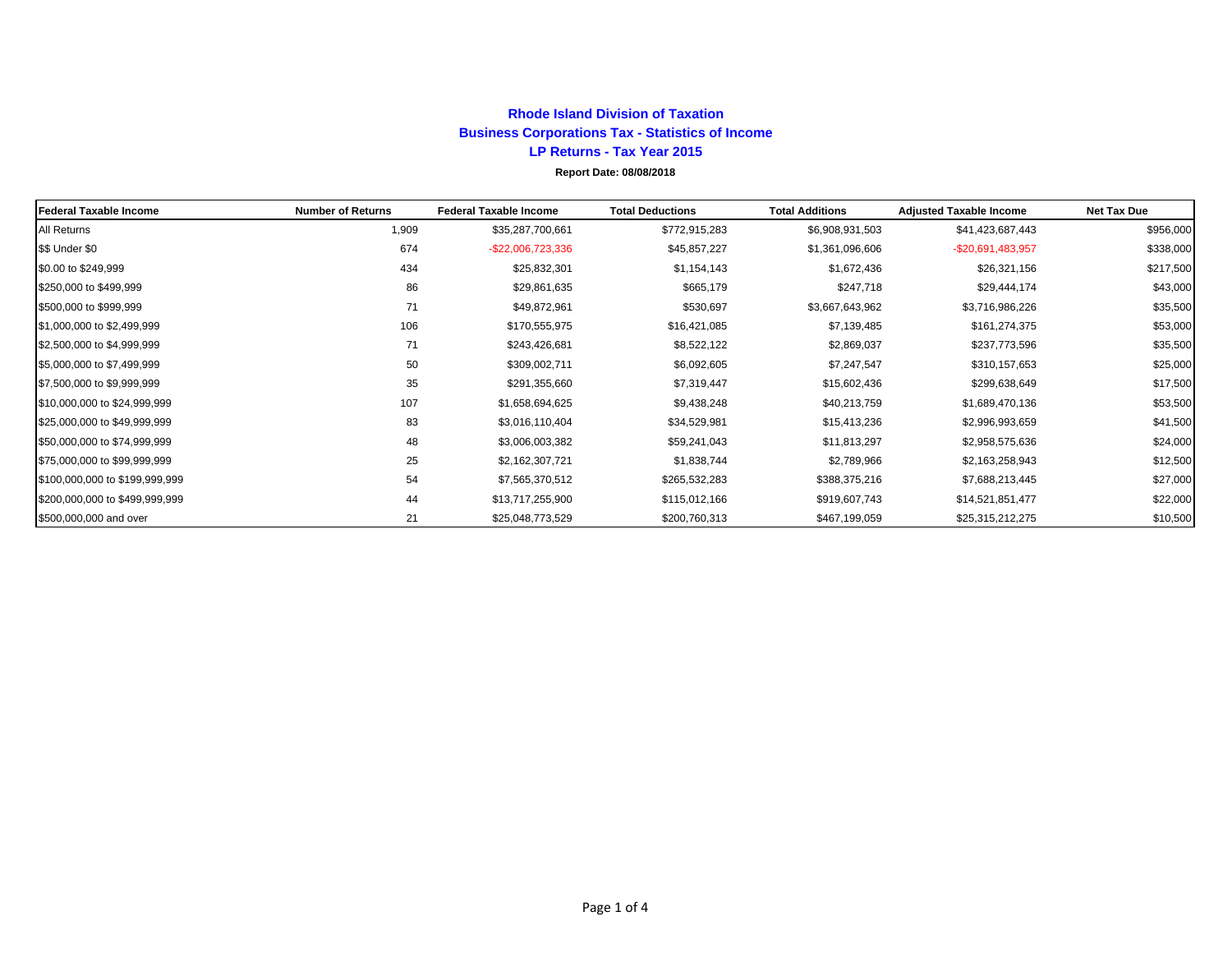## **Rhode Island Division of Taxation Business Corporations Tax - Statistics of Income LP Returns - Tax Year 2015 Report Date: 08/08/2018**

| Federal Taxable Income         | <b>Number of Returns</b> | <b>Federal Taxable Income</b> | <b>Total Deductions</b> | <b>Total Additions</b> | <b>Adjusted Taxable Income</b> | <b>Net Tax Due</b> |
|--------------------------------|--------------------------|-------------------------------|-------------------------|------------------------|--------------------------------|--------------------|
| All Returns                    | 1,909                    | \$35,287,700,661              | \$772,915,283           | \$6,908,931,503        | \$41,423,687,443               | \$956,000          |
| \$\$ Under \$0                 | 674                      | -\$22,006,723,336             | \$45,857,227            | \$1,361,096,606        | $-$20,691,483,957$             | \$338,000          |
| \$0.00 to \$249,999            | 434                      | \$25,832,301                  | \$1,154,143             | \$1,672,436            | \$26,321,156                   | \$217,500          |
| \$250,000 to \$499,999         | 86                       | \$29,861,635                  | \$665,179               | \$247,718              | \$29,444,174                   | \$43,000           |
| \$500,000 to \$999,999         | 71                       | \$49,872,961                  | \$530,697               | \$3,667,643,962        | \$3,716,986,226                | \$35,500           |
| \$1,000,000 to \$2,499,999     | 106                      | \$170,555,975                 | \$16,421,085            | \$7,139,485            | \$161,274,375                  | \$53,000           |
| \$2,500,000 to \$4,999,999     | 71                       | \$243,426,681                 | \$8,522,122             | \$2,869,037            | \$237,773,596                  | \$35,500           |
| \$5,000,000 to \$7,499,999     | 50                       | \$309,002,711                 | \$6,092,605             | \$7,247,547            | \$310,157,653                  | \$25,000           |
| \$7,500,000 to \$9,999,999     | 35                       | \$291,355,660                 | \$7,319,447             | \$15,602,436           | \$299,638,649                  | \$17,500           |
| \$10,000,000 to \$24,999,999   | 107                      | \$1,658,694,625               | \$9,438,248             | \$40,213,759           | \$1,689,470,136                | \$53,500           |
| \$25,000,000 to \$49,999,999   | 83                       | \$3,016,110,404               | \$34,529,981            | \$15,413,236           | \$2,996,993,659                | \$41,500           |
| \$50,000,000 to \$74,999,999   | 48                       | \$3,006,003,382               | \$59,241,043            | \$11,813,297           | \$2,958,575,636                | \$24,000           |
| \$75,000,000 to \$99,999,999   | 25                       | \$2,162,307,721               | \$1,838,744             | \$2,789,966            | \$2,163,258,943                | \$12,500           |
| \$100,000,000 to \$199,999,999 | 54                       | \$7,565,370,512               | \$265,532,283           | \$388,375,216          | \$7,688,213,445                | \$27,000           |
| \$200,000,000 to \$499,999,999 | 44                       | \$13,717,255,900              | \$115,012,166           | \$919,607,743          | \$14,521,851,477               | \$22,000           |
| \$500,000,000 and over         | 21                       | \$25,048,773,529              | \$200,760,313           | \$467,199,059          | \$25,315,212,275               | \$10,500           |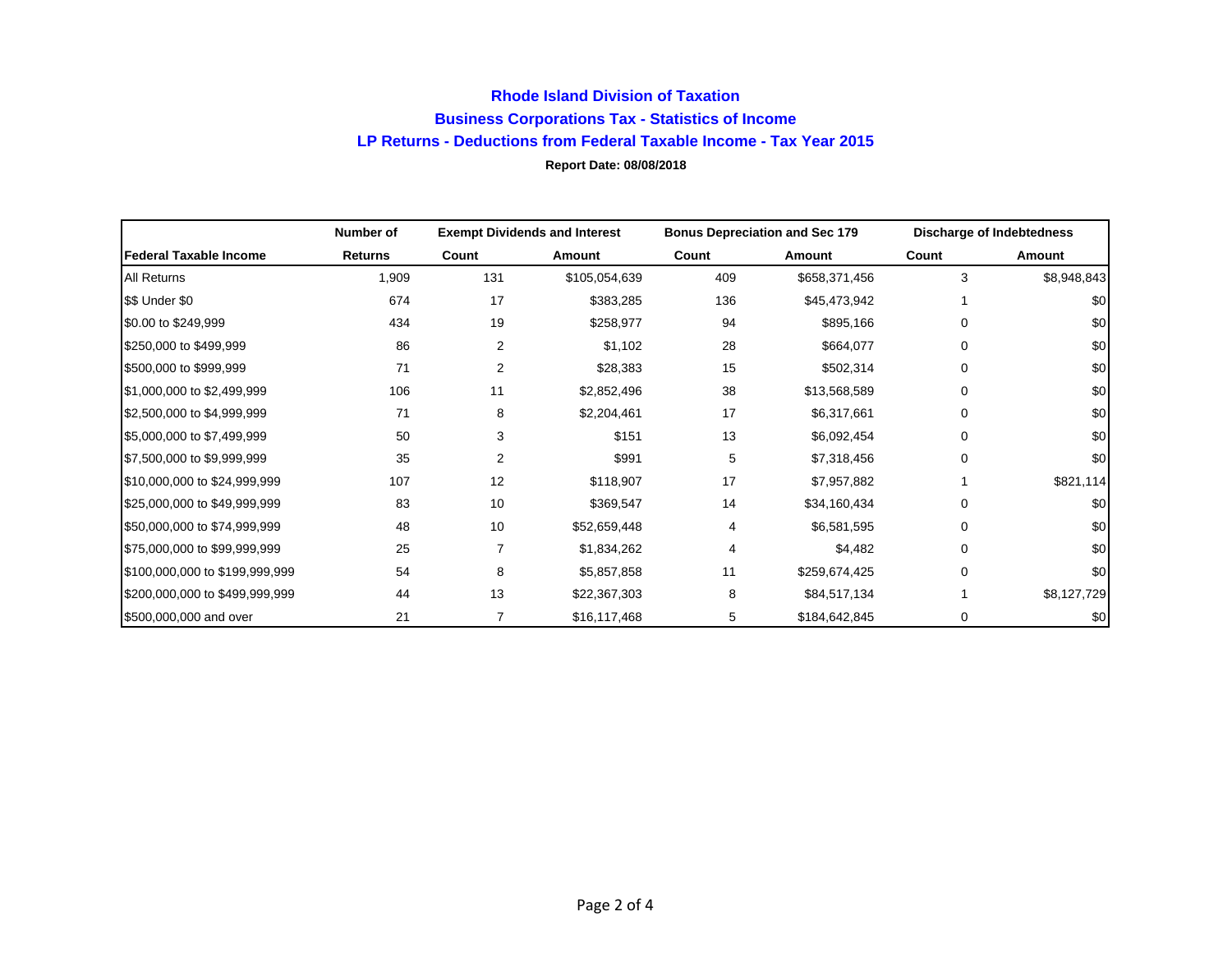## **Rhode Island Division of Taxation Business Corporations Tax - Statistics of Income LP Returns - Deductions from Federal Taxable Income - Tax Year 2015 Report Date: 08/08/2018**

|                                | Number of      | <b>Exempt Dividends and Interest</b> |               | <b>Bonus Depreciation and Sec 179</b> |               | <b>Discharge of Indebtedness</b> |             |
|--------------------------------|----------------|--------------------------------------|---------------|---------------------------------------|---------------|----------------------------------|-------------|
| l Federal Taxable Income       | <b>Returns</b> | Count                                | Amount        | Count                                 | Amount        | Count                            | Amount      |
| All Returns                    | 1,909          | 131                                  | \$105,054,639 | 409                                   | \$658,371,456 | 3                                | \$8,948,843 |
| \$\$ Under \$0                 | 674            | 17                                   | \$383,285     | 136                                   | \$45,473,942  |                                  | \$0         |
| \$0.00 to \$249,999            | 434            | 19                                   | \$258,977     | 94                                    | \$895,166     | $\Omega$                         | \$0         |
| \$250,000 to \$499,999         | 86             | $\overline{2}$                       | \$1,102       | 28                                    | \$664,077     | 0                                | \$0         |
| \$500,000 to \$999,999         | 71             | 2                                    | \$28,383      | 15                                    | \$502,314     | 0                                | \$0         |
| \$1,000,000 to \$2,499,999     | 106            | 11                                   | \$2,852,496   | 38                                    | \$13,568,589  | $\mathbf 0$                      | \$0         |
| \$2,500,000 to \$4,999,999     | 71             | 8                                    | \$2,204,461   | 17                                    | \$6,317,661   | 0                                | \$0         |
| \$5,000,000 to \$7,499,999     | 50             | 3                                    | \$151         | 13                                    | \$6,092,454   | $\Omega$                         | \$0         |
| \$7,500,000 to \$9,999,999     | 35             | 2                                    | \$991         | 5                                     | \$7,318,456   | 0                                | \$0         |
| \$10,000,000 to \$24,999,999   | 107            | 12                                   | \$118,907     | 17                                    | \$7,957,882   |                                  | \$821,114   |
| \$25,000,000 to \$49,999,999   | 83             | 10                                   | \$369,547     | 14                                    | \$34,160,434  | 0                                | \$0         |
| \$50,000,000 to \$74,999,999   | 48             | 10                                   | \$52,659,448  | 4                                     | \$6,581,595   | 0                                | \$0         |
| \$75,000,000 to \$99,999,999   | 25             | 7                                    | \$1,834,262   | 4                                     | \$4,482       | $\Omega$                         | \$0         |
| \$100,000,000 to \$199,999,999 | 54             | 8                                    | \$5,857,858   | 11                                    | \$259,674,425 | 0                                | \$0         |
| \$200,000,000 to \$499,999,999 | 44             | 13                                   | \$22,367,303  | 8                                     | \$84,517,134  |                                  | \$8,127,729 |
| \$500,000,000 and over         | 21             |                                      | \$16,117,468  | 5                                     | \$184,642,845 | 0                                | \$0         |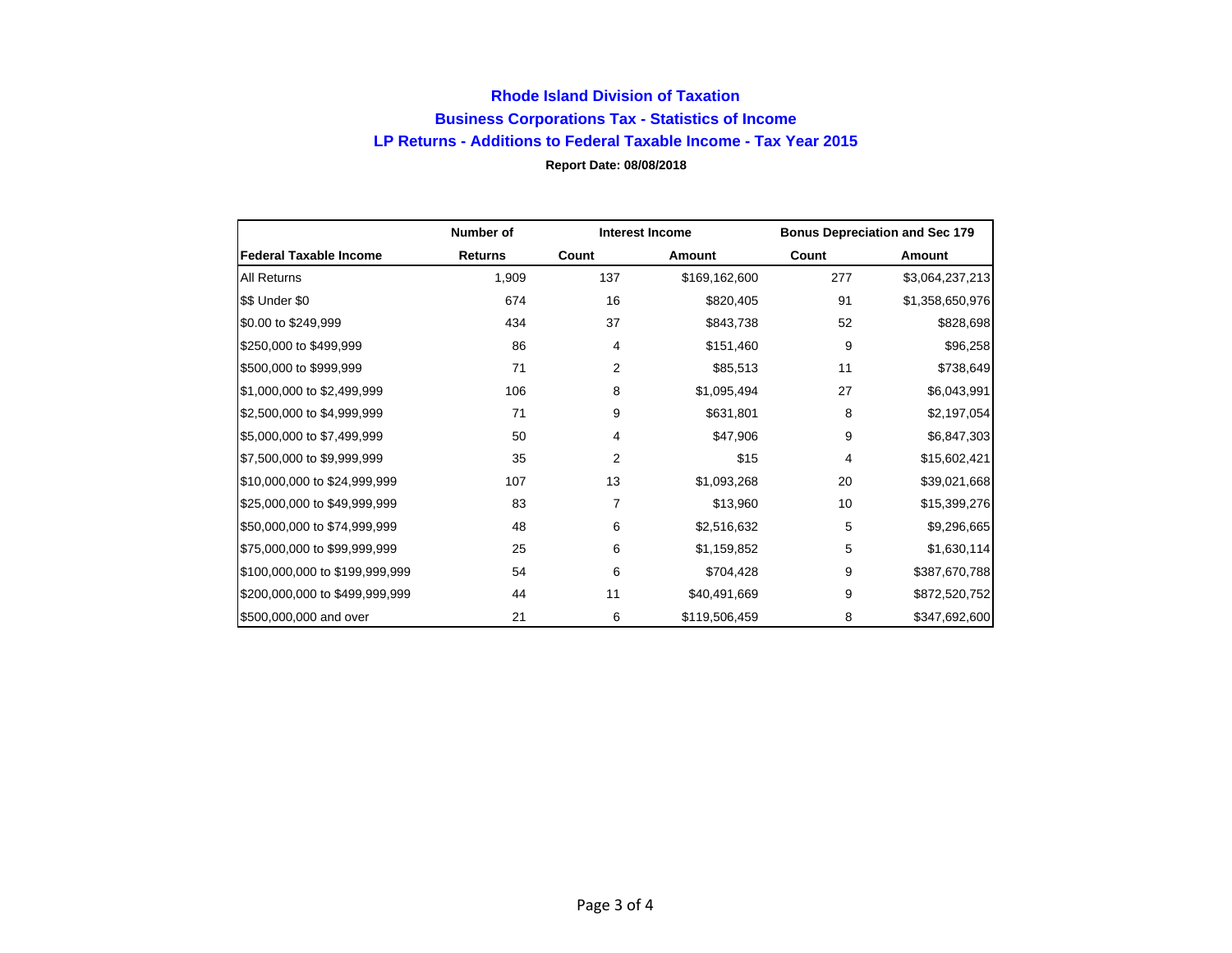## **Rhode Island Division of Taxation Business Corporations Tax - Statistics of Income LP Returns - Additions to Federal Taxable Income - Tax Year 2015 Report Date: 08/08/2018**

|                                | Number of      |                | <b>Interest Income</b> |       | <b>Bonus Depreciation and Sec 179</b> |
|--------------------------------|----------------|----------------|------------------------|-------|---------------------------------------|
| <b>Federal Taxable Income</b>  | <b>Returns</b> | Count          | Amount                 | Count | Amount                                |
| All Returns                    | 1,909          | 137            | \$169,162,600          | 277   | \$3,064,237,213                       |
| \$\$ Under \$0                 | 674            | 16             | \$820,405              | 91    | \$1,358,650,976                       |
| \$0.00 to \$249,999            | 434            | 37             | \$843,738              | 52    | \$828,698                             |
| \$250,000 to \$499,999         | 86             | 4              | \$151,460              | 9     | \$96,258                              |
| \$500,000 to \$999,999         | 71             | 2              | \$85,513               | 11    | \$738,649                             |
| \$1,000,000 to \$2,499,999     | 106            | 8              | \$1,095,494            | 27    | \$6,043,991                           |
| \$2,500,000 to \$4,999,999     | 71             | 9              | \$631,801              | 8     | \$2,197,054                           |
| \$5,000,000 to \$7,499,999     | 50             | 4              | \$47,906               | 9     | \$6,847,303                           |
| \$7,500,000 to \$9,999,999     | 35             | $\overline{2}$ | \$15                   | 4     | \$15,602,421                          |
| \$10,000,000 to \$24,999,999   | 107            | 13             | \$1,093,268            | 20    | \$39,021,668                          |
| \$25,000,000 to \$49,999,999   | 83             | 7              | \$13,960               | 10    | \$15,399,276                          |
| \$50,000,000 to \$74,999,999   | 48             | 6              | \$2,516,632            | 5     | \$9,296,665                           |
| \$75,000,000 to \$99,999,999   | 25             | 6              | \$1,159,852            | 5     | \$1,630,114                           |
| \$100,000,000 to \$199,999,999 | 54             | 6              | \$704,428              | 9     | \$387,670,788                         |
| \$200,000,000 to \$499,999,999 | 44             | 11             | \$40,491,669           | 9     | \$872,520,752                         |
| \$500,000,000 and over         | 21             | 6              | \$119,506,459          | 8     | \$347,692,600                         |